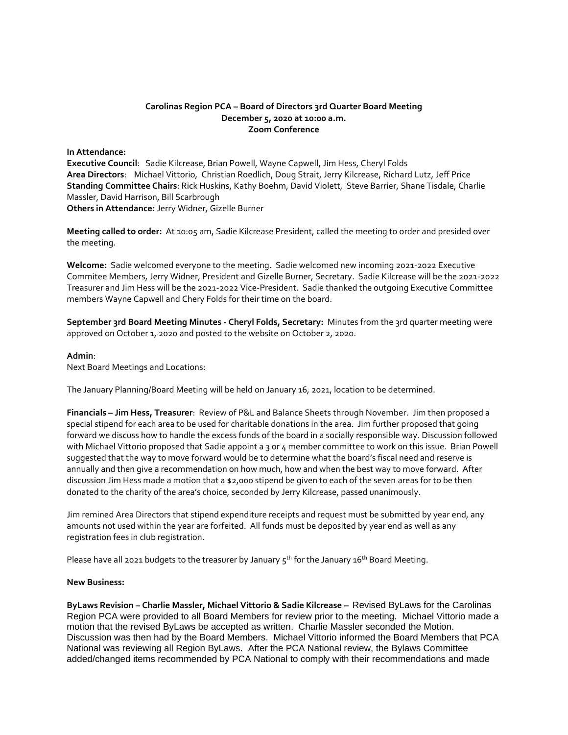### **Carolinas Region PCA – Board of Directors 3rd Quarter Board Meeting December 5, 2020 at 10:00 a.m. Zoom Conference**

#### **In Attendance:**

**Executive Council**: Sadie Kilcrease, Brian Powell, Wayne Capwell, Jim Hess, Cheryl Folds **Area Directors**: Michael Vittorio, Christian Roedlich, Doug Strait, Jerry Kilcrease, Richard Lutz, Jeff Price **Standing Committee Chairs**: Rick Huskins, Kathy Boehm, David Violett, Steve Barrier, Shane Tisdale, Charlie Massler, David Harrison, Bill Scarbrough **Others in Attendance:** Jerry Widner, Gizelle Burner

**Meeting called to order:** At 10:05 am, Sadie Kilcrease President, called the meeting to order and presided over the meeting.

**Welcome:** Sadie welcomed everyone to the meeting. Sadie welcomed new incoming 2021-2022 Executive Commitee Members, Jerry Widner, President and Gizelle Burner, Secretary. Sadie Kilcrease will be the 2021-2022 Treasurer and Jim Hess will be the 2021-2022 Vice-President. Sadie thanked the outgoing Executive Committee members Wayne Capwell and Chery Folds for their time on the board.

**September 3rd Board Meeting Minutes - Cheryl Folds, Secretary:** Minutes from the 3rd quarter meeting were approved on October 1, 2020 and posted to the website on October 2, 2020.

#### **Admin**:

Next Board Meetings and Locations:

The January Planning/Board Meeting will be held on January 16, 2021, location to be determined.

**Financials – Jim Hess, Treasurer**: Review of P&L and Balance Sheets through November. Jim then proposed a special stipend for each area to be used for charitable donations in the area. Jim further proposed that going forward we discuss how to handle the excess funds of the board in a socially responsible way. Discussion followed with Michael Vittorio proposed that Sadie appoint a 3 or 4 member committee to work on this issue. Brian Powell suggested that the way to move forward would be to determine what the board's fiscal need and reserve is annually and then give a recommendation on how much, how and when the best way to move forward. After discussion Jim Hess made a motion that a \$2,000 stipend be given to each of the seven areas for to be then donated to the charity of the area's choice, seconded by Jerry Kilcrease, passed unanimously.

Jim remined Area Directors that stipend expenditure receipts and request must be submitted by year end, any amounts not used within the year are forfeited. All funds must be deposited by year end as well as any registration fees in club registration.

Please have all 2021 budgets to the treasurer by January  $5<sup>th</sup>$  for the January 16<sup>th</sup> Board Meeting.

### **New Business:**

**ByLaws Revision – Charlie Massler, Michael Vittorio & Sadie Kilcrease –** Revised ByLaws for the Carolinas Region PCA were provided to all Board Members for review prior to the meeting. Michael Vittorio made a motion that the revised ByLaws be accepted as written. Charlie Massler seconded the Motion. Discussion was then had by the Board Members. Michael Vittorio informed the Board Members that PCA National was reviewing all Region ByLaws. After the PCA National review, the Bylaws Committee added/changed items recommended by PCA National to comply with their recommendations and made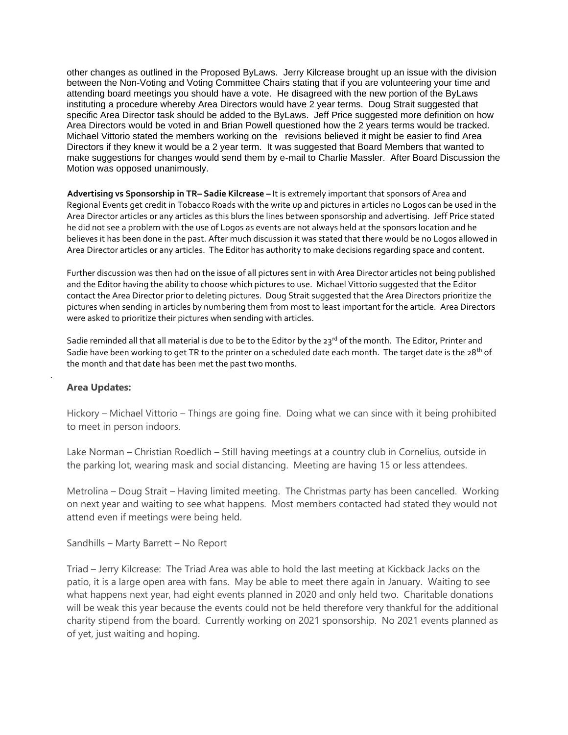other changes as outlined in the Proposed ByLaws. Jerry Kilcrease brought up an issue with the division between the Non-Voting and Voting Committee Chairs stating that if you are volunteering your time and attending board meetings you should have a vote. He disagreed with the new portion of the ByLaws instituting a procedure whereby Area Directors would have 2 year terms. Doug Strait suggested that specific Area Director task should be added to the ByLaws. Jeff Price suggested more definition on how Area Directors would be voted in and Brian Powell questioned how the 2 years terms would be tracked. Michael Vittorio stated the members working on the revisions believed it might be easier to find Area Directors if they knew it would be a 2 year term. It was suggested that Board Members that wanted to make suggestions for changes would send them by e-mail to Charlie Massler. After Board Discussion the Motion was opposed unanimously.

 **Advertising vs Sponsorship in TR– Sadie Kilcrease –** It is extremely important that sponsors of Area and Regional Events get credit in Tobacco Roads with the write up and pictures in articles no Logos can be used in the Area Director articles or any articles as this blurs the lines between sponsorship and advertising. Jeff Price stated he did not see a problem with the use of Logos as events are not always held at the sponsors location and he believes it has been done in the past. After much discussion it was stated that there would be no Logos allowed in Area Director articles or any articles. The Editor has authority to make decisions regarding space and content.

Further discussion was then had on the issue of all pictures sent in with Area Director articles not being published and the Editor having the ability to choose which pictures to use. Michael Vittorio suggested that the Editor contact the Area Director prior to deleting pictures. Doug Strait suggested that the Area Directors prioritize the pictures when sending in articles by numbering them from most to least important for the article. Area Directors were asked to prioritize their pictures when sending with articles.

Sadie reminded all that all material is due to be to the Editor by the  $23^{rd}$  of the month. The Editor, Printer and Sadie have been working to get TR to the printer on a scheduled date each month. The target date is the 28<sup>th</sup> of the month and that date has been met the past two months.

## **Area Updates:**

.

Hickory – Michael Vittorio – Things are going fine. Doing what we can since with it being prohibited to meet in person indoors.

Lake Norman – Christian Roedlich – Still having meetings at a country club in Cornelius, outside in the parking lot, wearing mask and social distancing. Meeting are having 15 or less attendees.

Metrolina – Doug Strait – Having limited meeting. The Christmas party has been cancelled. Working on next year and waiting to see what happens. Most members contacted had stated they would not attend even if meetings were being held.

Sandhills – Marty Barrett – No Report

Triad – Jerry Kilcrease: The Triad Area was able to hold the last meeting at Kickback Jacks on the patio, it is a large open area with fans. May be able to meet there again in January. Waiting to see what happens next year, had eight events planned in 2020 and only held two. Charitable donations will be weak this year because the events could not be held therefore very thankful for the additional charity stipend from the board. Currently working on 2021 sponsorship. No 2021 events planned as of yet, just waiting and hoping.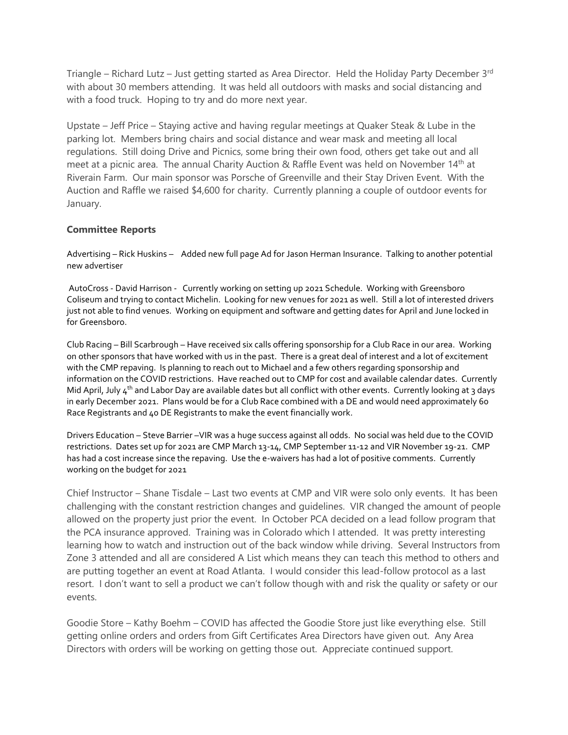Triangle – Richard Lutz – Just getting started as Area Director. Held the Holiday Party December 3rd with about 30 members attending. It was held all outdoors with masks and social distancing and with a food truck. Hoping to try and do more next year.

Upstate – Jeff Price – Staying active and having regular meetings at Quaker Steak & Lube in the parking lot. Members bring chairs and social distance and wear mask and meeting all local regulations. Still doing Drive and Picnics, some bring their own food, others get take out and all meet at a picnic area. The annual Charity Auction & Raffle Event was held on November 14<sup>th</sup> at Riverain Farm. Our main sponsor was Porsche of Greenville and their Stay Driven Event. With the Auction and Raffle we raised \$4,600 for charity. Currently planning a couple of outdoor events for January.

# **Committee Reports**

Advertising – Rick Huskins – Added new full page Ad for Jason Herman Insurance. Talking to another potential new advertiser

AutoCross - David Harrison - Currently working on setting up 2021 Schedule. Working with Greensboro Coliseum and trying to contact Michelin. Looking for new venues for 2021 as well. Still a lot of interested drivers just not able to find venues. Working on equipment and software and getting dates for April and June locked in for Greensboro.

Club Racing – Bill Scarbrough – Have received six calls offering sponsorship for a Club Race in our area. Working on other sponsors that have worked with us in the past. There is a great deal of interest and a lot of excitement with the CMP repaving. Is planning to reach out to Michael and a few others regarding sponsorship and information on the COVID restrictions. Have reached out to CMP for cost and available calendar dates. Currently Mid April, July 4<sup>th</sup> and Labor Day are available dates but all conflict with other events. Currently looking at 3 days in early December 2021. Plans would be for a Club Race combined with a DE and would need approximately 60 Race Registrants and 40 DE Registrants to make the event financially work.

Drivers Education – Steve Barrier –VIR was a huge success against all odds. No social was held due to the COVID restrictions. Dates set up for 2021 are CMP March 13-14, CMP September 11-12 and VIR November 19-21. CMP has had a cost increase since the repaving. Use the e-waivers has had a lot of positive comments. Currently working on the budget for 2021

Chief Instructor – Shane Tisdale – Last two events at CMP and VIR were solo only events. It has been challenging with the constant restriction changes and guidelines. VIR changed the amount of people allowed on the property just prior the event. In October PCA decided on a lead follow program that the PCA insurance approved. Training was in Colorado which I attended. It was pretty interesting learning how to watch and instruction out of the back window while driving. Several Instructors from Zone 3 attended and all are considered A List which means they can teach this method to others and are putting together an event at Road Atlanta. I would consider this lead-follow protocol as a last resort. I don't want to sell a product we can't follow though with and risk the quality or safety or our events.

Goodie Store – Kathy Boehm – COVID has affected the Goodie Store just like everything else. Still getting online orders and orders from Gift Certificates Area Directors have given out. Any Area Directors with orders will be working on getting those out. Appreciate continued support.